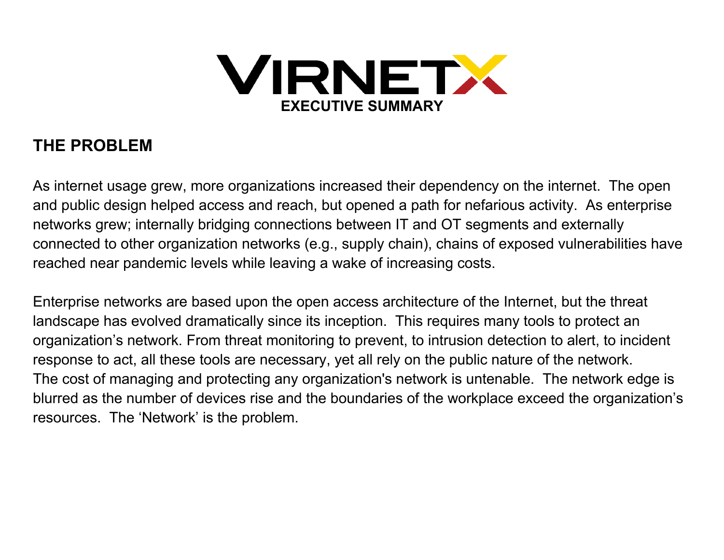

### **THE PROBLEM**

As internet usage grew, more organizations increased their dependency on the internet. The open and public design helped access and reach, but opened a path for nefarious activity. As enterprise networks grew; internally bridging connections between IT and OT segments and externally connected to other organization networks (e.g., supply chain), chains of exposed vulnerabilities have reached near pandemic levels while leaving a wake of increasing costs.

Enterprise networks are based upon the open access architecture of the Internet, but the threat landscape has evolved dramatically since its inception. This requires many tools to protect an organization's network. From threat monitoring to prevent, to intrusion detection to alert, to incident response to act, all these tools are necessary, yet all rely on the public nature of the network. The cost of managing and protecting any organization's network is untenable. The network edge is blurred as the number of devices rise and the boundaries of the workplace exceed the organization's resources. The 'Network' is the problem.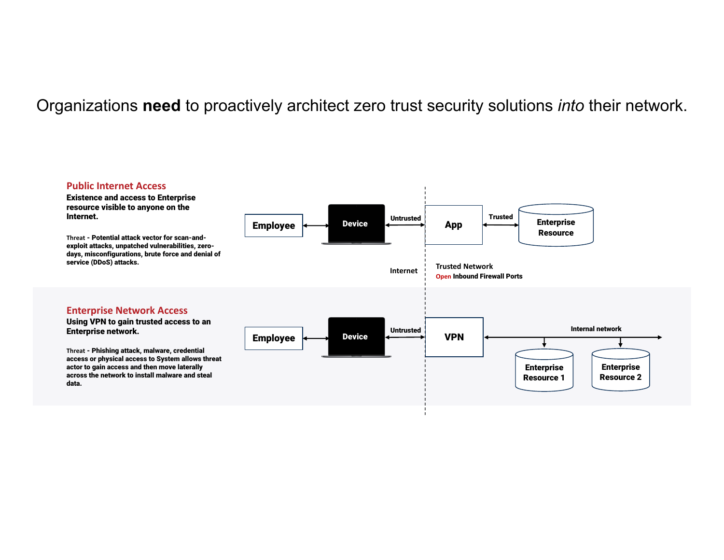#### Organizations **need** to proactively architect zero trust security solutions *into* their network.

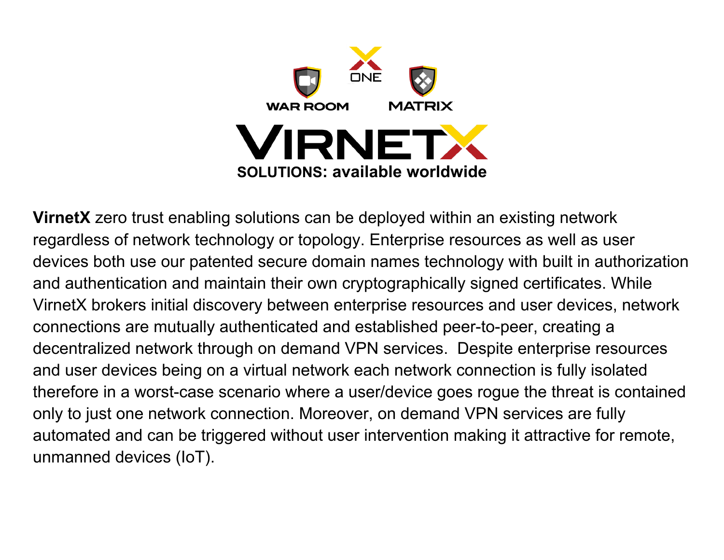

**VirnetX** zero trust enabling solutions can be deployed within an existing network regardless of network technology or topology. Enterprise resources as well as user devices both use our patented secure domain names technology with built in authorization and authentication and maintain their own cryptographically signed certificates. While VirnetX brokers initial discovery between enterprise resources and user devices, network connections are mutually authenticated and established peer-to-peer, creating a decentralized network through on demand VPN services. Despite enterprise resources and user devices being on a virtual network each network connection is fully isolated therefore in a worst-case scenario where a user/device goes rogue the threat is contained only to just one network connection. Moreover, on demand VPN services are fully automated and can be triggered without user intervention making it attractive for remote, unmanned devices (IoT).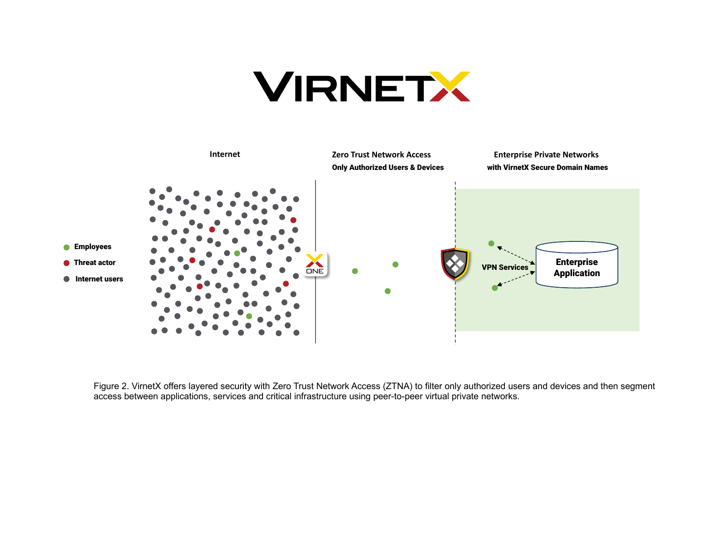



Figure 2. VirnetX offers layered security with Zero Trust Network Access (ZTNA) to filter only authorized users and devices and then segment access between applications, services and critical infrastructure using peer-to-peer virtual private networks.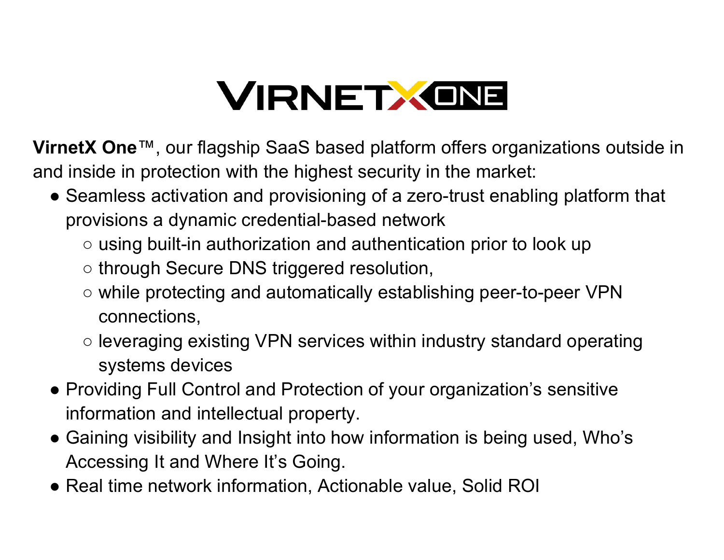# **VIRNETXONE**

**VirnetX One**™, our flagship SaaS based platform offers organizations outside in and inside in protection with the highest security in the market:

- Seamless activation and provisioning of a zero-trust enabling platform that provisions a dynamic credential-based network
	- using built-in authorization and authentication prior to look up
	- through Secure DNS triggered resolution,
	- while protecting and automatically establishing peer-to-peer VPN connections,
	- leveraging existing VPN services within industry standard operating systems devices
- Providing Full Control and Protection of your organization's sensitive information and intellectual property.
- Gaining visibility and Insight into how information is being used, Who's Accessing It and Where It's Going.
- Real time network information, Actionable value, Solid ROI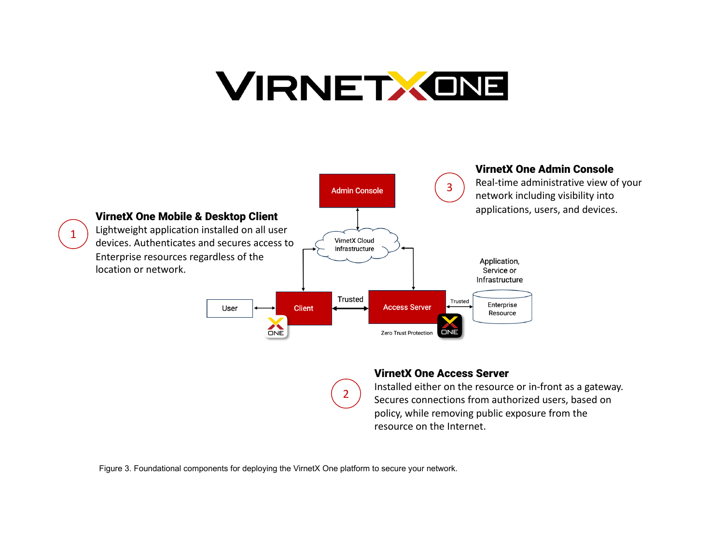# **VIRNETXONE**



2

#### VirnetX One Access Server

Installed either on the resource or in-front as a gateway. Secures connections from authorized users, based on policy, while removing public exposure from the resource on the Internet.

Figure 3. Foundational components for deploying the VirnetX One platform to secure your network.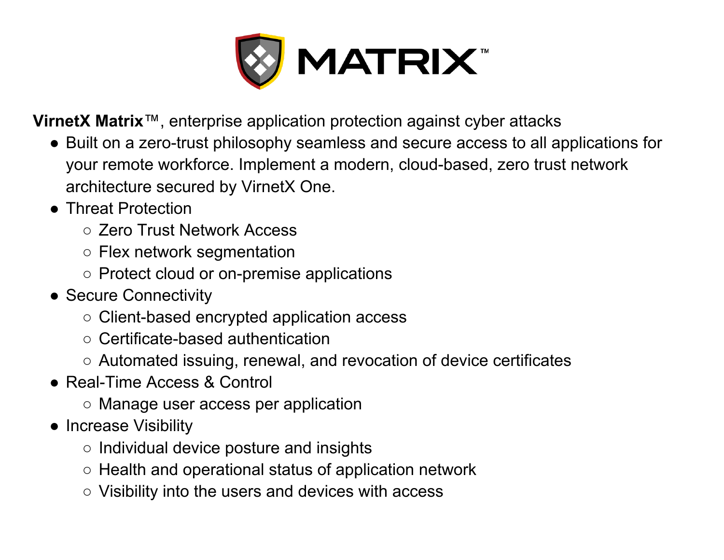

**VirnetX Matrix**™, enterprise application protection against cyber attacks

- Built on a zero-trust philosophy seamless and secure access to all applications for your remote workforce. Implement a modern, cloud-based, zero trust network architecture secured by VirnetX One.
- Threat Protection
	- Zero Trust Network Access
	- Flex network segmentation
	- Protect cloud or on-premise applications
- Secure Connectivity
	- Client-based encrypted application access
	- Certificate-based authentication
	- Automated issuing, renewal, and revocation of device certificates
- Real-Time Access & Control
	- Manage user access per application
- Increase Visibility
	- Individual device posture and insights
	- Health and operational status of application network
	- Visibility into the users and devices with access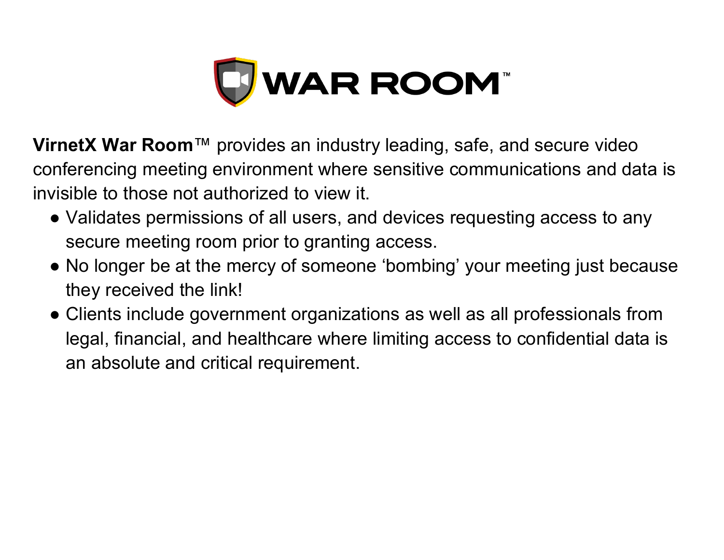

**VirnetX War Room**™ provides an industry leading, safe, and secure video conferencing meeting environment where sensitive communications and data is invisible to those not authorized to view it.

- Validates permissions of all users, and devices requesting access to any secure meeting room prior to granting access.
- No longer be at the mercy of someone 'bombing' your meeting just because they received the link!
- Clients include government organizations as well as all professionals from legal, financial, and healthcare where limiting access to confidential data is an absolute and critical requirement.